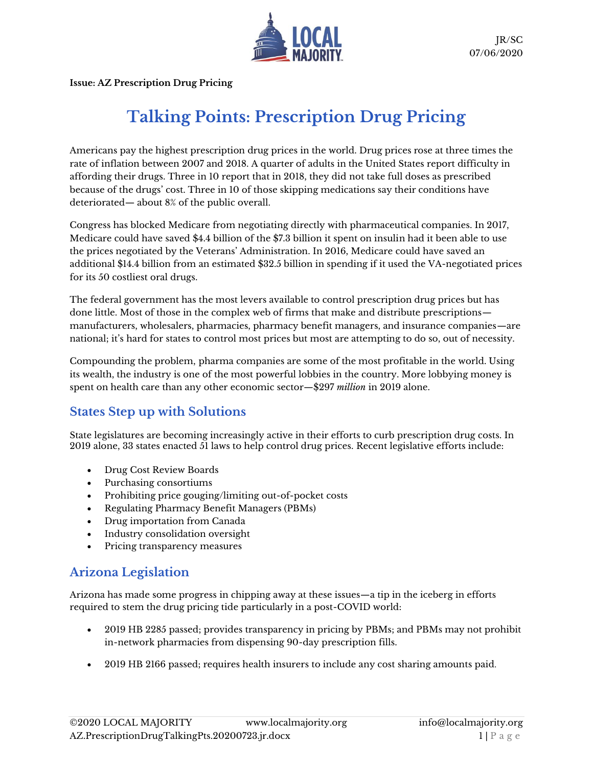

**Issue: AZ Prescription Drug Pricing**

## **Talking Points: Prescription Drug Pricing**

Americans pay the highest prescription drug prices in the world. Drug prices rose at three times the rate of inflation between 2007 and 2018. A quarter of adults in the United States report difficulty in affording their drugs. Three in 10 report that in 2018, they did not take full doses as prescribed because of the drugs' cost. Three in 10 of those skipping medications say their conditions have deteriorated— about 8% of the public overall.

Congress has blocked Medicare from negotiating directly with pharmaceutical companies. In 2017, Medicare could have saved \$4.4 billion of the \$7.3 billion it spent on insulin had it been able to use the prices negotiated by the Veterans' Administration. In 2016, Medicare could have saved an additional \$14.4 billion from an estimated \$32.5 billion in spending if it used the VA-negotiated prices for its 50 costliest oral drugs.

The federal government has the most levers available to control prescription drug prices but has done little. Most of those in the complex web of firms that make and distribute prescriptions manufacturers, wholesalers, pharmacies, pharmacy benefit managers, and insurance companies—are national; it's hard for states to control most prices but most are attempting to do so, out of necessity.

Compounding the problem, pharma companies are some of the most profitable in the world. Using its wealth, the industry is one of the most powerful lobbies in the country. More lobbying money is spent on health care than any other economic sector—\$297 *million* in 2019 alone.

## **States Step up with Solutions**

State legislatures are becoming increasingly active in their efforts to curb prescription drug costs. In 2019 alone, 33 states enacted 51 laws to help control drug prices. Recent legislative efforts include:

- Drug Cost Review Boards
- Purchasing consortiums
- Prohibiting price gouging/limiting out-of-pocket costs
- Regulating Pharmacy Benefit Managers (PBMs)
- Drug importation from Canada
- Industry consolidation oversight
- Pricing transparency measures

## **Arizona Legislation**

Arizona has made some progress in chipping away at these issues—a tip in the iceberg in efforts required to stem the drug pricing tide particularly in a post-COVID world:

- 2019 HB 2285 passed; provides transparency in pricing by PBMs; and PBMs may not prohibit in-network pharmacies from dispensing 90-day prescription fills.
- 2019 HB 2166 passed; requires health insurers to include any cost sharing amounts paid.